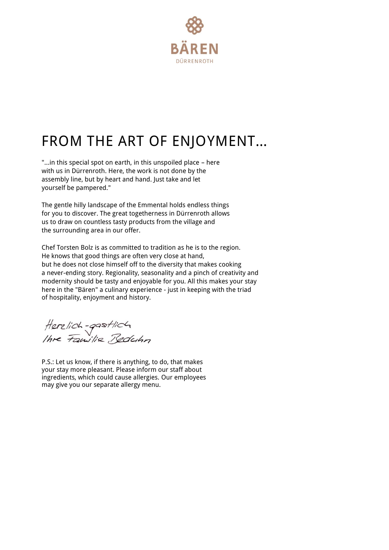

## FROM THE ART OF ENJOYMENT…

"…in this special spot on earth, in this unspoiled place – here with us in Dürrenroth. Here, the work is not done by the assembly line, but by heart and hand. Just take and let yourself be pampered."

The gentle hilly landscape of the Emmental holds endless things for you to discover. The great togetherness in Dürrenroth allows us to draw on countless tasty products from the village and the surrounding area in our offer.

Chef Torsten Bolz is as committed to tradition as he is to the region. He knows that good things are often very close at hand, but he does not close himself off to the diversity that makes cooking a never-ending story. Regionality, seasonality and a pinch of creativity and modernity should be tasty and enjoyable for you. All this makes your stay here in the "Bären" a culinary experience - just in keeping with the triad of hospitality, enjoyment and history.

Herzlich-gastlich<br>Ihre Familie Beduhn

P.S.: Let us know, if there is anything, to do, that makes your stay more pleasant. Please inform our staff about ingredients, which could cause allergies. Our employees may give you our separate allergy menu.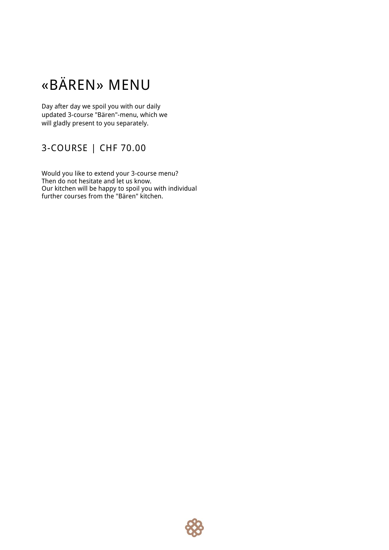## «BÄREN» MENU

Day after day we spoil you with our daily updated 3-course "Bären"-menu, which we will gladly present to you separately.

#### 3-COURSE | CHF 70.00

Would you like to extend your 3-course menu? Then do not hesitate and let us know. Our kitchen will be happy to spoil you with individual further courses from the "Bären" kitchen.

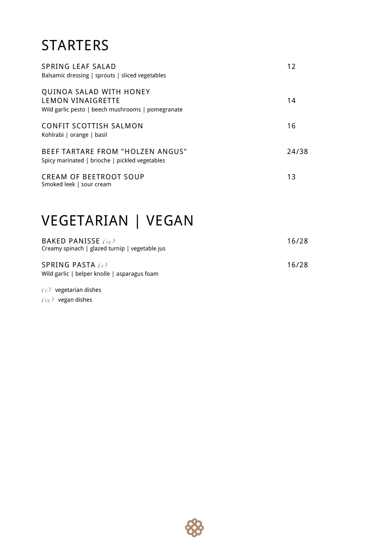## **STARTERS**

| <b>SPRING LEAF SALAD</b><br>Balsamic dressing   sprouts   sliced vegetables                       | 12    |
|---------------------------------------------------------------------------------------------------|-------|
| QUINOA SALAD WITH HONEY<br>LEMON VINAIGRETTE<br>Wild garlic pesto   beech mushrooms   pomegranate | 14    |
| CONFIT SCOTTISH SALMON<br>Kohlrabi   orange   basil                                               | 16    |
| <b>BEEF TARTARE FROM "HOLZEN ANGUS"</b><br>Spicy marinated   brioche   pickled vegetables         | 24/38 |
| <b>CREAM OF BEETROOT SOUP</b><br>Smoked leek   sour cream                                         | 13    |

## VEGETARIAN | VEGAN

| BAKED PANISSE $(r_e)$<br>Creamy spinach   glazed turnip   vegetable jus | 16/28 |
|-------------------------------------------------------------------------|-------|
| SPRING PASTA $\alpha$<br>Wild garlic   belper knolle   asparagus foam   | 16/28 |

 $(y)$  vegetarian dishes  $(r_e)$  vegan dishes

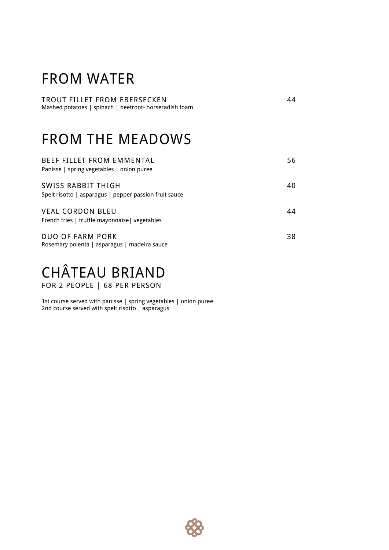#### FROM WATER

TROUT FILLET FROM EBERSECKEN 44 Mashed potatoes | spinach | beetroot- horseradish foam

## FROM THE MEADOWS

| <b>BEEF FILLET FROM EMMENTAL</b><br>Panisse   spring vegetables   onion puree | 56 |
|-------------------------------------------------------------------------------|----|
| SWISS RABBIT THIGH<br>Spelt risotto   asparagus   pepper passion fruit sauce  | 40 |
| <b>VEAL CORDON BLEU</b><br>French fries   truffle mayonnaise   vegetables     | 44 |
| <b>DUO OF FARM PORK</b><br>Rosemary polenta   asparagus   madeira sauce       | 38 |

# CHÂTEAU BRIAND

FOR 2 PEOPLE | 68 PER PERSON

1st course served with panisse | spring vegetables | onion puree 2nd course served with spelt risotto | asparagus

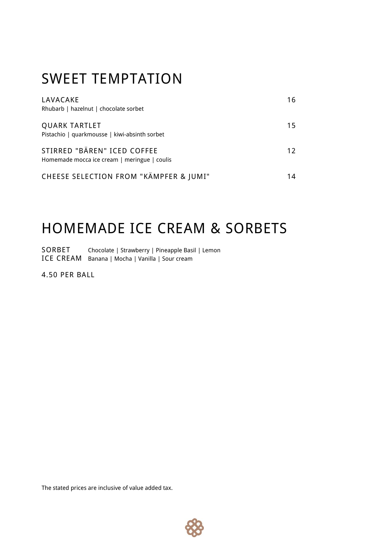## SWEET TEMPTATION

| LAVACAKE<br>Rhubarb   hazelnut   chocolate sorbet                           | 16 |
|-----------------------------------------------------------------------------|----|
| <b>QUARK TARTLET</b><br>Pistachio   quarkmousse   kiwi-absinth sorbet       | 15 |
| STIRRED "BÄREN" ICED COFFEE<br>Homemade mocca ice cream   meringue   coulis | 12 |
| CHEESE SELECTION FROM "KÄMPFER & JUMI"                                      | 14 |

## HOMEMADE ICE CREAM & SORBETS

SORBET Chocolate | Strawberry | Pineapple Basil | Lemon ICE CREAM Banana | Mocha | Vanilla | Sour cream

4.50 PER BALL

The stated prices are inclusive of value added tax.